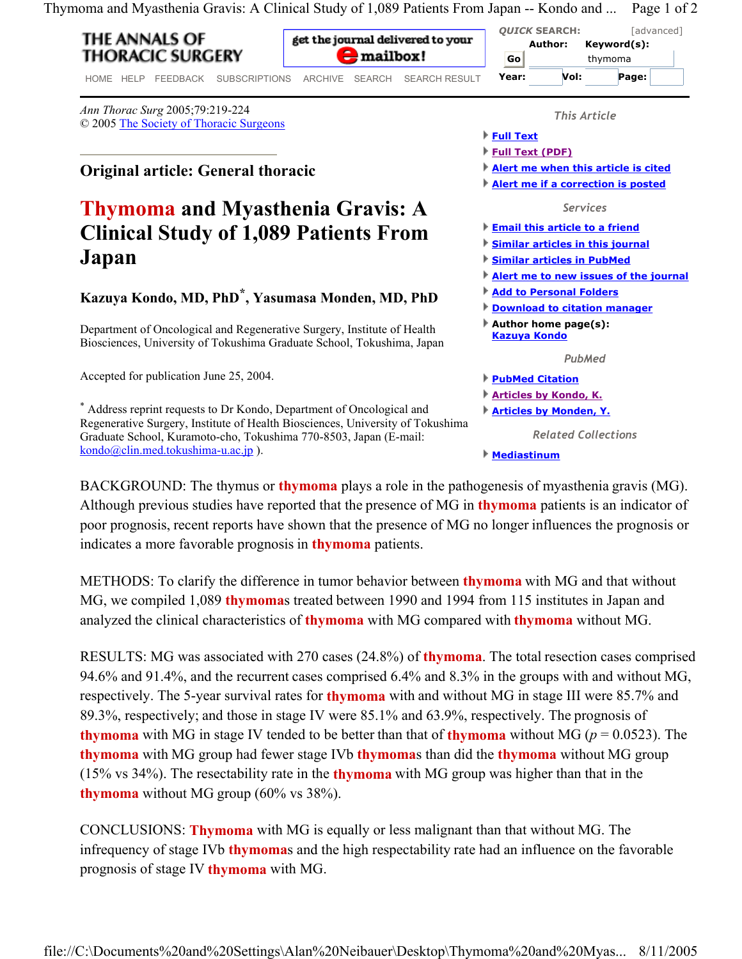Thymoma and Myasthenia Gravis: A Clinical Study of 1,089 Patients From Japan -- Kondo and ... Page 1 of 2

## THE ANNALS OF **THORACIC SURGERY**

get the journal delivered to your  $\blacktriangleright$  mailbox!

HOME HELP FEEDBACK SUBSCRIPTIONS ARCHIVE SEARCH SEARCH RESULT

*Ann Thorac Surg* 2005;79:219-224 © 2005 The Society of Thoracic Surgeons

**Original article: General thoracic** 

## **Thymoma and Myasthenia Gravis: A Clinical Study of 1,089 Patients From Japan**

## **Kazuya Kondo, MD, PhD\*, Yasumasa Monden, MD, PhD**

Department of Oncological and Regenerative Surgery, Institute of Health Biosciences, University of Tokushima Graduate School, Tokushima, Japan

Accepted for publication June 25, 2004.

kondo@clin.med.tokushima-u.ac.jp ).

\* Address reprint requests to Dr Kondo, Department of Oncological and Regenerative Surgery, Institute of Health Biosciences, University of Tokushima Graduate School, Kuramoto-cho, Tokushima 770-8503, Japan (E-mail: *This Article* **Full Text Full Text (PDF) Alert me when this article is cited Alert me if a correction is posted** *Services* **Email this article to a friend Similar articles in this journal Similar articles in PubMed Alert me to new issues of the journal Add to Personal Folders Download to citation manager Author home page(s): Kazuya Kondo** *PubMed* **PubMed Citation Articles by Kondo, K. Articles by Monden, Y.** *Related Collections*

*QUICK* **SEARCH:** [advanced]

**Author: Keyword(s):**  thymoma

**Year: Vol: Page:** 

**Go**

**Mediastinum**

BACKGROUND: The thymus or **thymoma** plays a role in the pathogenesis of myasthenia gravis (MG). Although previous studies have reported that the presence of MG in **thymoma** patients is an indicator of poor prognosis, recent reports have shown that the presence of MG no longer influences the prognosis or indicates a more favorable prognosis in **thymoma** patients.

METHODS: To clarify the difference in tumor behavior between **thymoma** with MG and that without MG, we compiled 1,089 **thymoma**s treated between 1990 and 1994 from 115 institutes in Japan and analyzed the clinical characteristics of **thymoma** with MG compared with **thymoma** without MG.

RESULTS: MG was associated with 270 cases (24.8%) of **thymoma**. The total resection cases comprised 94.6% and 91.4%, and the recurrent cases comprised 6.4% and 8.3% in the groups with and without MG, respectively. The 5-year survival rates for **thymoma** with and without MG in stage III were 85.7% and 89.3%, respectively; and those in stage IV were 85.1% and 63.9%, respectively. The prognosis of **thymoma** with MG in stage IV tended to be better than that of **thymoma** without MG ( $p = 0.0523$ ). The **thymoma** with MG group had fewer stage IVb **thymoma**s than did the **thymoma** without MG group (15% vs 34%). The resectability rate in the **thymoma** with MG group was higher than that in the **thymoma** without MG group (60% vs 38%).

CONCLUSIONS: **Thymoma** with MG is equally or less malignant than that without MG. The infrequency of stage IVb **thymoma**s and the high respectability rate had an influence on the favorable prognosis of stage IV **thymoma** with MG.